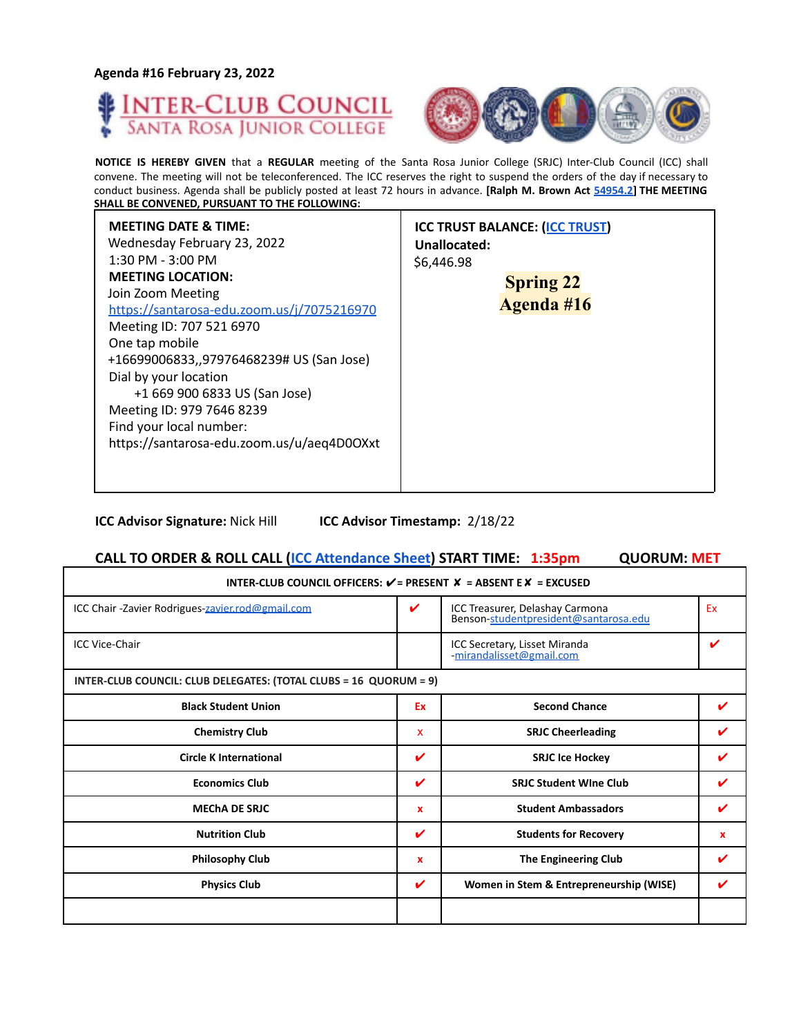**Agenda #16 February 23, 2022**

Г





**NOTICE IS HEREBY GIVEN** that a **REGULAR** meeting of the Santa Rosa Junior College (SRJC) Inter-Club Council (ICC) shall convene. The meeting will not be teleconferenced. The ICC reserves the right to suspend the orders of the day if necessary to conduct business. Agenda shall be publicly posted at least 72 hours in advance. **[Ralph M. Brown Act 54954.2] THE MEETING SHALL BE CONVENED, PURSUANT TO THE FOLLOWING:**

| <b>MEETING DATE &amp; TIME:</b><br>Wednesday February 23, 2022<br>$1:30$ PM - $3:00$ PM<br>\$6,446.98<br><b>MEETING LOCATION:</b><br>Join Zoom Meeting<br>https://santarosa-edu.zoom.us/j/7075216970<br>Meeting ID: 707 521 6970<br>One tap mobile<br>+16699006833,,97976468239# US (San Jose)<br>Dial by your location<br>+1 669 900 6833 US (San Jose)<br>Meeting ID: 979 7646 8239<br>Find your local number:<br>https://santarosa-edu.zoom.us/u/aeq4D0OXxt | <b>ICC TRUST BALANCE: (ICC TRUST)</b><br>Unallocated:<br><b>Spring 22</b><br>Agenda #16 |
|----------------------------------------------------------------------------------------------------------------------------------------------------------------------------------------------------------------------------------------------------------------------------------------------------------------------------------------------------------------------------------------------------------------------------------------------------------------|-----------------------------------------------------------------------------------------|
|----------------------------------------------------------------------------------------------------------------------------------------------------------------------------------------------------------------------------------------------------------------------------------------------------------------------------------------------------------------------------------------------------------------------------------------------------------------|-----------------------------------------------------------------------------------------|

**ICC Advisor Signature:** Nick Hill **ICC Advisor Timestamp:** 2/18/22

# **CALL TO ORDER & ROLL CALL (ICC Attendance Sheet) START TIME: 1:35pm QUORUM: MET**

| INTER-CLUB COUNCIL OFFICERS: $V = P$ RESENT $X = AB$ SENT E $X = EXCUSED$ |    |                                                                          |    |  |
|---------------------------------------------------------------------------|----|--------------------------------------------------------------------------|----|--|
| ICC Chair -Zavier Rodrigues-zavier.rod@gmail.com                          | ✓  | ICC Treasurer, Delashay Carmona<br>Benson-studentpresident@santarosa.edu | Ex |  |
| <b>ICC Vice-Chair</b>                                                     |    | ICC Secretary, Lisset Miranda<br>mirandalisset@gmail.com                 | ı  |  |
| INTER-CLUB COUNCIL: CLUB DELEGATES: (TOTAL CLUBS = 16 QUORUM = 9)         |    |                                                                          |    |  |
| <b>Black Student Union</b>                                                | Ex | <b>Second Chance</b>                                                     |    |  |
| <b>Chemistry Club</b>                                                     | x  | <b>SRJC Cheerleading</b>                                                 |    |  |
| <b>Circle K International</b>                                             | V  | <b>SRJC Ice Hockey</b>                                                   |    |  |
| <b>Economics Club</b>                                                     | ✔  | <b>SRJC Student Wine Club</b>                                            |    |  |
| <b>MECHA DE SRJC</b>                                                      | x  | <b>Student Ambassadors</b>                                               |    |  |
| <b>Nutrition Club</b>                                                     | ✔  | <b>Students for Recovery</b>                                             | x  |  |
| <b>Philosophy Club</b>                                                    | x  | <b>The Engineering Club</b>                                              |    |  |
| <b>Physics Club</b>                                                       | V  | Women in Stem & Entrepreneurship (WISE)                                  |    |  |
|                                                                           |    |                                                                          |    |  |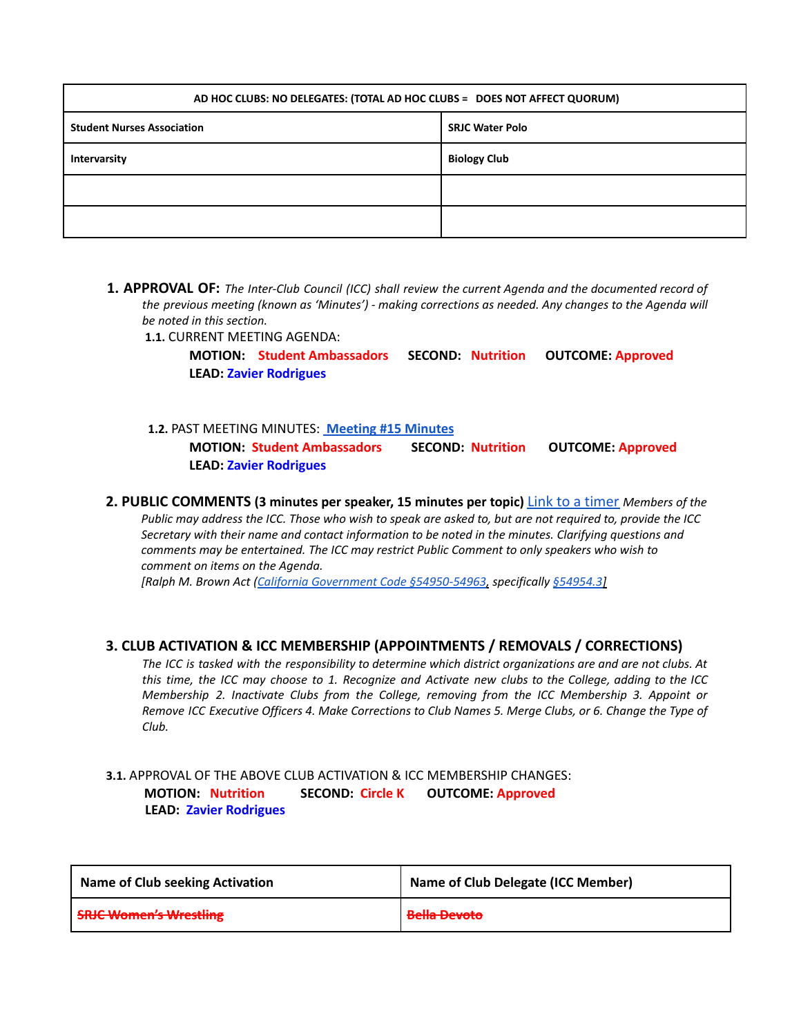| AD HOC CLUBS: NO DELEGATES: (TOTAL AD HOC CLUBS = DOES NOT AFFECT QUORUM) |                        |  |
|---------------------------------------------------------------------------|------------------------|--|
| <b>Student Nurses Association</b>                                         | <b>SRJC Water Polo</b> |  |
| Intervarsity                                                              | <b>Biology Club</b>    |  |
|                                                                           |                        |  |
|                                                                           |                        |  |

**1. APPROVAL OF:** *The Inter-Club Council (ICC) shall review the current Agenda and the documented record of the previous meeting (known as 'Minutes') - making corrections as needed. Any changes to the Agenda will be noted in this section.*

**1.1.** CURRENT MEETING AGENDA:

**MOTION: Student Ambassadors SECOND: Nutrition OUTCOME: Approved LEAD: Zavier Rodrigues**

# **1.2.** PAST MEETING MINUTES: **[Meeting](https://docs.google.com/document/u/0/d/1knc_cJgehaSDAAPznnVJLdF-a4LEZczumaSkYLhof9k/edit) #15 Minutes MOTION: Student Ambassadors SECOND: Nutrition OUTCOME: Approved LEAD: Zavier Rodrigues**

**2. PUBLIC COMMENTS (3 minutes per speaker, 15 minutes per topic)** Link to a timer *Members of the* Public may address the ICC. Those who wish to speak are asked to, but are not required to, provide the ICC *Secretary with their name and contact information to be noted in the minutes. Clarifying questions and comments may be entertained. The ICC may restrict Public Comment to only speakers who wish to comment on items on the Agenda.*

*[Ralph M. Brown Act (California Government Code §54950-54963, specifically §54954.3]*

#### **3. CLUB ACTIVATION & ICC MEMBERSHIP (APPOINTMENTS / REMOVALS / CORRECTIONS)**

The ICC is tasked with the responsibility to determine which district organizations are and are not clubs. At this time, the ICC may choose to 1. Recognize and Activate new clubs to the College, adding to the ICC *Membership 2. Inactivate Clubs from the College, removing from the ICC Membership 3. Appoint or* Remove ICC Executive Officers 4. Make Corrections to Club Names 5. Merge Clubs, or 6. Change the Type of *Club.*

## **3.1.** APPROVAL OF THE ABOVE CLUB ACTIVATION & ICC MEMBERSHIP CHANGES: **MOTION: Nutrition SECOND: Circle K OUTCOME: Approved LEAD: Zavier Rodrigues**

| <b>Name of Club seeking Activation</b> | Name of Club Delegate (ICC Member) |
|----------------------------------------|------------------------------------|
| <b>SRJC Women's Wrestling</b>          | <del>Bella Devoto</del>            |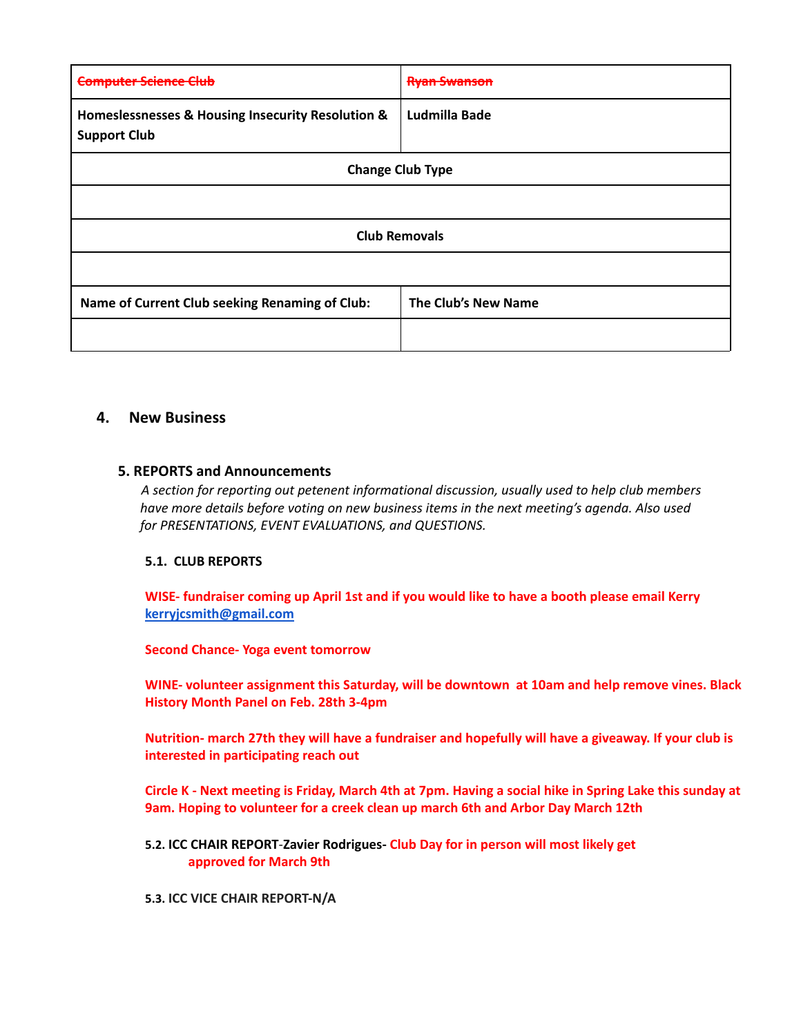| c                                                                        |                      |  |
|--------------------------------------------------------------------------|----------------------|--|
| Homeslessnesses & Housing Insecurity Resolution &<br><b>Support Club</b> | <b>Ludmilla Bade</b> |  |
| <b>Change Club Type</b>                                                  |                      |  |
|                                                                          |                      |  |
| <b>Club Removals</b>                                                     |                      |  |
|                                                                          |                      |  |
| Name of Current Club seeking Renaming of Club:                           | The Club's New Name  |  |
|                                                                          |                      |  |

# **4. New Business**

#### **5. REPORTS and Announcements**

*A section for reporting out petenent informational discussion, usually used to help club members have more details before voting on new business items in the next meeting's agenda. Also used for PRESENTATIONS, EVENT EVALUATIONS, and QUESTIONS.*

#### **5.1. CLUB REPORTS**

**WISE- fundraiser coming up April 1st and if you would like to have a booth please email Kerry [kerryjcsmith@gmail.com](mailto:kerryjcsmith@gmail.com)**

#### **Second Chance- Yoga event tomorrow**

**WINE- volunteer assignment this Saturday, will be downtown at 10am and help remove vines. Black History Month Panel on Feb. 28th 3-4pm**

Nutrition- march 27th they will have a fundraiser and hopefully will have a giveaway. If your club is **interested in participating reach out**

Circle K - Next meeting is Friday, March 4th at 7pm. Having a social hike in Spring Lake this sunday at **9am. Hoping to volunteer for a creek clean up march 6th and Arbor Day March 12th**

**5.2. ICC CHAIR REPORT**-**Zavier Rodrigues- Club Day for in person will most likely get approved for March 9th**

#### **5.3. ICC VICE CHAIR REPORT-N/A**